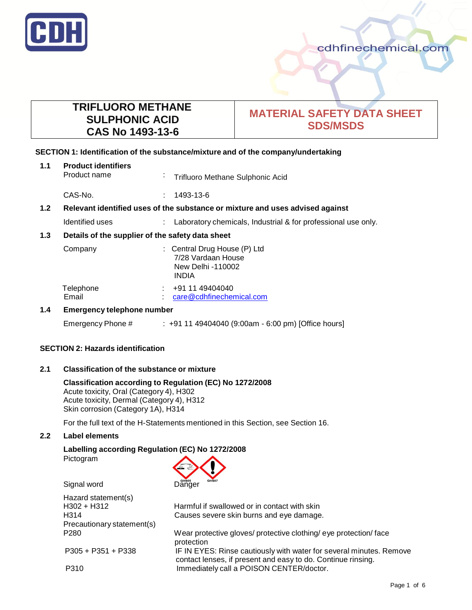

# **TRIFLUORO METHANE SULPHONIC ACID CAS No 1493-13-6**

# **MATERIAL SAFETY DATA SHEET SDS/MSDS**

## **SECTION 1: Identification of the substance/mixture and of the company/undertaking**

| 1.1 | <b>Product identifiers</b><br>Product name                                    | $\sim$ | Trifluoro Methane Sulphonic Acid                                                        |
|-----|-------------------------------------------------------------------------------|--------|-----------------------------------------------------------------------------------------|
|     | CAS-No.                                                                       |        | 1493-13-6                                                                               |
| 1.2 | Relevant identified uses of the substance or mixture and uses advised against |        |                                                                                         |
|     | Identified uses                                                               |        | Laboratory chemicals, Industrial & for professional use only.                           |
| 1.3 | Details of the supplier of the safety data sheet                              |        |                                                                                         |
|     | Company                                                                       |        | : Central Drug House (P) Ltd<br>7/28 Vardaan House<br>New Delhi -110002<br><b>INDIA</b> |
|     | Telephone<br>Email                                                            |        | $\div$ +91 11 49404040<br>care@cdhfinechemical.com                                      |
| 1.4 | <b>Emergency telephone number</b>                                             |        |                                                                                         |

## Emergency Phone # : +91 11 49404040 (9:00am - 6:00 pm) [Office hours]

## **SECTION 2: Hazards identification**

## **2.1 Classification of the substance or mixture**

## **Classification according to Regulation (EC) No 1272/2008**

Acute toxicity, Oral (Category 4), H302 Acute toxicity, Dermal (Category 4), H312 Skin corrosion (Category 1A), H314

For the full text of the H-Statements mentioned in this Section, see Section 16.

## **2.2 Label elements**

## **Labelling according Regulation (EC) No 1272/2008**

Pictogram



Hazard statement(s) H302 + H312 Harmful if swallowed or in contact with skin H314 Causes severe skin burns and eye damage. Precautionary statement(s) P280 Wear protective gloves/ protective clothing/ eye protection/ face protection<br>IF IN EYE = 19351 + P338 IF IN EYES: Rinse cautiously with water for several minutes. Remove contact lenses, if present and easy to do. Continue rinsing. P310 **Immediately call a POISON CENTER/doctor.**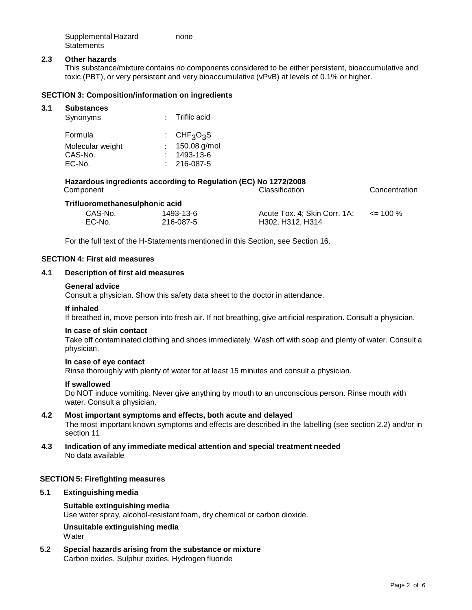| Supplemental Hazard | none |
|---------------------|------|
| <b>Statements</b>   |      |

## **2.3 Other hazards**

This substance/mixture contains no components considered to be either persistent, bioaccumulative and toxic (PBT), or very persistent and very bioaccumulative (vPvB) at levels of 0.1% or higher.

#### **SECTION 3: Composition/information on ingredients**

#### **3.1 Substances**

| Synonyms         | $:$ Triflic acid                          |
|------------------|-------------------------------------------|
| Formula          | $\cdot$ CHF <sub>3</sub> O <sub>3</sub> S |
| Molecular weight | : $150.08$ g/mol                          |
| CAS-No.          | 1493-13-6                                 |
| EC-No.           | $: 216-087-5$                             |

## **Hazardous ingredients according to Regulation (EC) No 1272/2008** Classification Concentration **Trifluoromethanesulphoni c acid**

| .<br>CAS-No. | 1493-13-6 | Acute Tox. 4; Skin Corr. 1A; | $\leq$ 100 % |
|--------------|-----------|------------------------------|--------------|
| EC-No.       | 216-087-5 | H302, H312, H314             |              |

For the full text of the H-Statements mentioned in this Section, see Section 16.

#### **SECTION 4: First aid measures**

## **4.1 Description of first aid measures**

#### **General advice**

Consult a physician. Show this safety data sheet to the doctor in attendance.

#### **If inhaled**

If breathed in, move person into fresh air. If not breathing, give artificial respiration. Consult a physician.

#### **In case of skin contact**

Take off contaminated clothing and shoes immediately. Wash off with soap and plenty of water. Consult a physician.

#### **In case of eye contact**

Rinse thoroughly with plenty of water for at least 15 minutes and consult a physician.

#### **If swallowed**

Do NOT induce vomiting. Never give anything by mouth to an unconscious person. Rinse mouth with water. Consult a physician.

# **4.2 Most important symptoms and effects, both acute and delayed**

The most important known symptoms and effects are described in the labelling (see section 2.2) and/or in section 11

## **4.3 Indication of any immediate medical attention and special treatment needed** No data available

## **SECTION 5: Firefighting measures**

## **5.1 Extinguishing media**

## **Suitable extinguishing media**

Use water spray, alcohol-resistant foam, dry chemical or carbon dioxide.

### **Unsuitable extinguishing media Water**

**5.2 Special hazards arising from the substance or mixture** Carbon oxides, Sulphur oxides, Hydrogen fluoride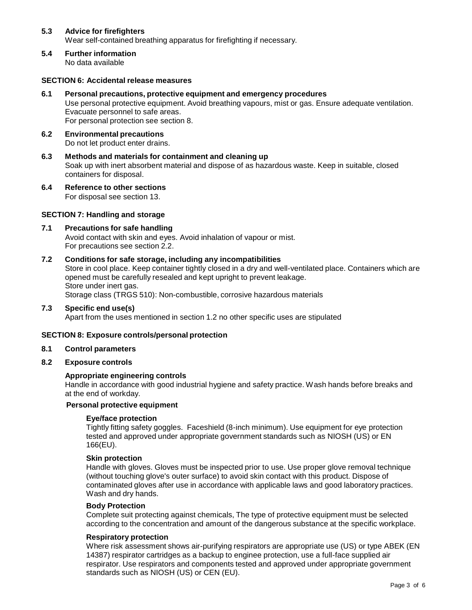## **5.3 Advice for firefighters** Wear self-contained breathing apparatus for firefighting if necessary.

**5.4 Further information** No data available

## **SECTION 6: Accidental release measures**

- **6.1 Personal precautions, protective equipment and emergency procedures** Use personal protective equipment. Avoid breathing vapours, mist or gas. Ensure adequate ventilation. Evacuate personnel to safe areas. For personal protection see section 8.
- **6.2 Environmental precautions** Do not let product enter drains.
- **6.3 Methods and materials for containment and cleaning up** Soak up with inert absorbent material and dispose of as hazardous waste. Keep in suitable, closed containers for disposal.
- **6.4 Reference to other sections** For disposal see section 13.

## **SECTION 7: Handling and storage**

**7.1 Precautions for safe handling** Avoid contact with skin and eyes. Avoid inhalation of vapour or mist. For precautions see section 2.2.

## **7.2 Conditions for safe storage, including any incompatibilities**

Store in cool place. Keep container tightly closed in a dry and well-ventilated place. Containers which are opened must be carefully resealed and kept upright to prevent leakage. Store under inert gas. Storage class (TRGS 510): Non-combustible, corrosive hazardous materials

**7.3 Specific end use(s)**

Apart from the uses mentioned in section 1.2 no other specific uses are stipulated

## **SECTION 8: Exposure controls/personal protection**

#### **8.1 Control parameters**

**8.2 Exposure controls**

## **Appropriate engineering controls**

Handle in accordance with good industrial hygiene and safety practice. Wash hands before breaks and at the end of workday.

### **Personal protective equipment**

## **Eye/face protection**

Tightly fitting safety goggles. Faceshield (8-inch minimum). Use equipment for eye protection tested and approved under appropriate government standards such as NIOSH (US) or EN 166(EU).

#### **Skin protection**

Handle with gloves. Gloves must be inspected prior to use. Use proper glove removal technique (without touching glove's outer surface) to avoid skin contact with this product. Dispose of contaminated gloves after use in accordance with applicable laws and good laboratory practices. Wash and dry hands.

#### **Body Protection**

Complete suit protecting against chemicals, The type of protective equipment must be selected according to the concentration and amount of the dangerous substance at the specific workplace.

## **Respiratory protection**

Where risk assessment shows air-purifying respirators are appropriate use (US) or type ABEK (EN 14387) respirator cartridges as a backup to enginee protection, use a full-face supplied air respirator. Use respirators and components tested and approved under appropriate government standards such as NIOSH (US) or CEN (EU).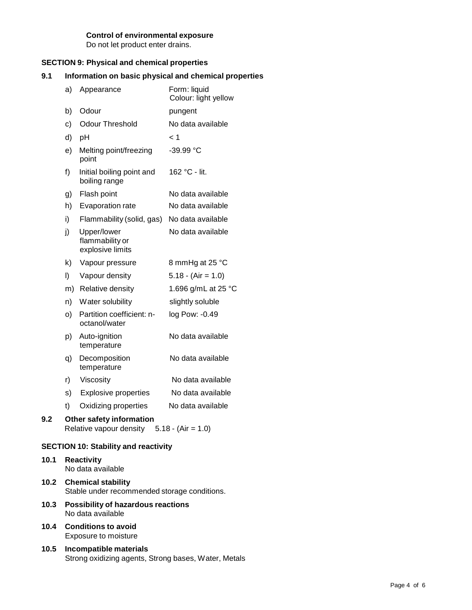## **Control of environmental exposure**

Do not let product enter drains.

## **SECTION 9: Physical and chemical properties**

## **9.1 Information on basic physical and chemical properties**

|                                             | a)                                                                       | Appearance                                         | Form: liquid<br>Colour: light yellow |
|---------------------------------------------|--------------------------------------------------------------------------|----------------------------------------------------|--------------------------------------|
|                                             | b)                                                                       | Odour                                              | pungent                              |
|                                             | c)                                                                       | <b>Odour Threshold</b>                             | No data available                    |
|                                             | d)                                                                       | pH                                                 | < 1                                  |
|                                             | e)                                                                       | Melting point/freezing<br>point                    | $-39.99 °C$                          |
|                                             | f)                                                                       | Initial boiling point and<br>boiling range         | 162 °C - lit.                        |
|                                             | g)                                                                       | Flash point                                        | No data available                    |
|                                             | h)                                                                       | Evaporation rate                                   | No data available                    |
|                                             | i)                                                                       | Flammability (solid, gas)                          | No data available                    |
|                                             | j)                                                                       | Upper/lower<br>flammability or<br>explosive limits | No data available                    |
|                                             | k)                                                                       | Vapour pressure                                    | 8 mmHg at 25 °C                      |
|                                             | I)                                                                       | Vapour density                                     | $5.18 - (Air = 1.0)$                 |
|                                             | m)                                                                       | Relative density                                   | 1.696 g/mL at 25 °C                  |
|                                             | n)                                                                       | Water solubility                                   | slightly soluble                     |
|                                             | O)                                                                       | Partition coefficient: n-<br>octanol/water         | log Pow: -0.49                       |
|                                             | p)                                                                       | Auto-ignition<br>temperature                       | No data available                    |
|                                             | q)                                                                       | Decomposition<br>temperature                       | No data available                    |
|                                             | r)                                                                       | Viscosity                                          | No data available                    |
|                                             | s)                                                                       | <b>Explosive properties</b>                        | No data available                    |
|                                             | t)                                                                       | Oxidizing properties                               | No data available                    |
| 9.2                                         | Other safety information<br>Relative vapour density $5.18 - (Air = 1.0)$ |                                                    |                                      |
| <b>SECTION 10: Stability and reactivity</b> |                                                                          |                                                    |                                      |
| 10.1                                        |                                                                          | <b>Reactivity</b>                                  |                                      |

No data available

- **10.2 Chemical stability** Stable under recommended storage conditions.
- **10.3 Possibility of hazardous reactions** No data available
- **10.4 Conditions to avoid** Exposure to moisture
- **10.5 Incompatible materials** Strong oxidizing agents, Strong bases, Water, Metals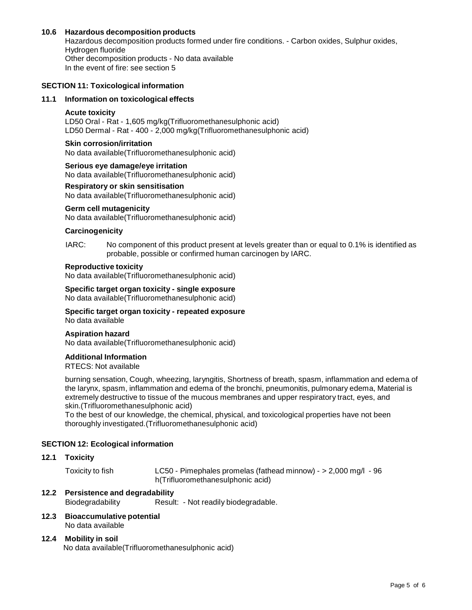## **10.6 Hazardous decomposition products**

Hazardous decomposition products formed under fire conditions. - Carbon oxides, Sulphur oxides, Hydrogen fluoride Other decomposition products - No data available In the event of fire: see section 5

## **SECTION 11: Toxicological information**

#### **11.1 Information on toxicological effects**

#### **Acute toxicity**

LD50 Oral - Rat - 1,605 mg/kg(Trifluoromethanesulphonic acid) LD50 Dermal - Rat - 400 - 2,000 mg/kg(Trifluoromethanesulphonic acid)

#### **Skin corrosion/irritation**

No data available(Trifluoromethanesulphonic acid)

#### **Serious eye damage/eye irritation**

No data available(Trifluoromethanesulphonic acid)

#### **Respiratory or skin sensitisation**

No data available(Trifluoromethanesulphonic acid)

#### **Germ cell mutagenicity**

No data available(Trifluoromethanesulphonic acid)

## **Carcinogenicity**

#### IARC: No component of this product present at levels greater than or equal to 0.1% is identified as probable, possible or confirmed human carcinogen by IARC.

#### **Reproductive toxicity**

No data available(Trifluoromethanesulphonic acid)

#### **Specific target organ toxicity - single exposure**

No data available(Trifluoromethanesulphonic acid)

#### **Specific target organ toxicity - repeated exposure** No data available

## **Aspiration hazard**

No data available(Trifluoromethanesulphonic acid)

#### **Additional Information**

RTECS: Not available

burning sensation, Cough, wheezing, laryngitis, Shortness of breath, spasm, inflammation and edema of the larynx, spasm, inflammation and edema of the bronchi, pneumonitis, pulmonary edema, Material is extremely destructive to tissue of the mucous membranes and upper respiratory tract, eyes, and skin.(Trifluoromethanesulphonic acid)

To the best of our knowledge, the chemical, physical, and toxicological properties have not been thoroughly investigated.(Trifluoromethanesulphonic acid)

#### **SECTION 12: Ecological information**

#### **12.1 Toxicity**

Toxicity to fish LC50 - Pimephales promelas (fathead minnow) - > 2,000 mg/l - 96 h(Trifluoromethanesulphonic acid)

- **12.2 Persistence and degradability** Biodegradability Result: - Not readily biodegradable.
- **12.3 Bioaccumulative potential** No data available

#### **12.4 Mobility in soil**

No data available(Trifluoromethanesulphonic acid)